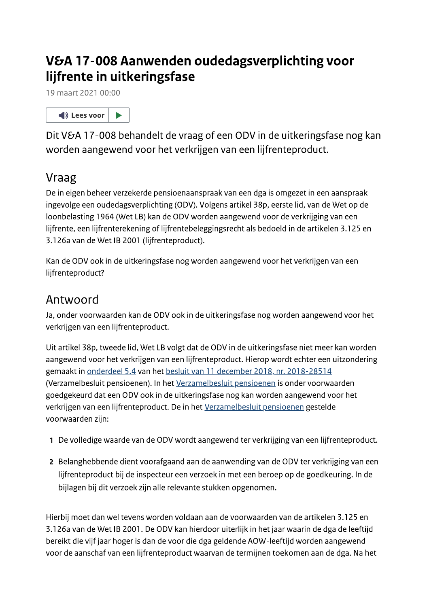## V&A 17-008 Aanwenden oudedagsverplichting voor liifrente in uitkeringsfase



**VGA 17-008 Aanuvenden oudedagsverplichting voor<br>
iijfrente in uitkeringsfase<br>
19 maat 2021 00:00<br>
40 teervoor | B<br>
Division 17-008 behandelt de vraag of een ODV in de uitkeringsfase nog kan<br>
Division 17-008 behandelt de** 

- 
-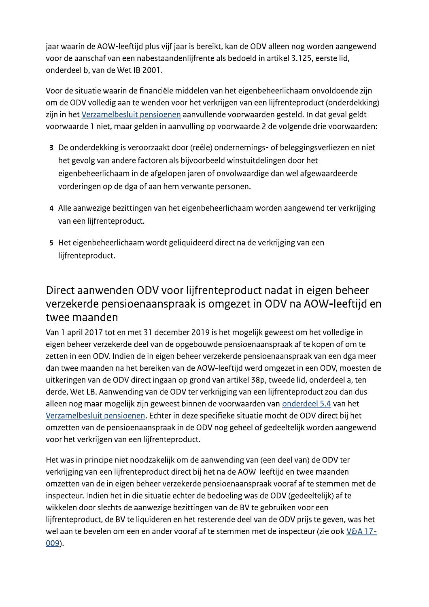jaar waarin de AOW-leeftijd plus vijf jaar is bereikt, kan de ODV alleen nog worden aangewend voor de aanschaf van een nabestaandenlijfrente als bedoeld in artikel 3.125, eerste lid, onderdeel b. van de Wet IB 2001.

Voor de situatie waarin de financiële middelen van het eigenbeheerlichaam onvoldoende zijn om de ODV volledig aan te wenden voor het verkrijgen van een lijfrenteproduct (onderdekking) zijn in het Verzamelbesluit pensioenen aanvullende voorwaarden gesteld. In dat geval geldt voorwaarde 1 niet, maar gelden in aanvulling op voorwaarde 2 de volgende drie voorwaarden:

- 3 De onderdekking is veroorzaakt door (reële) ondernemings- of beleggingsverliezen en niet het gevolg van andere factoren als bijvoorbeeld winstuitdelingen door het eigenbeheerlichaam in de afgelopen jaren of onvolwaardige dan wel afgewaardeerde vorderingen op de dga of aan hem verwante personen.
- 4 Alle aanwezige bezittingen van het eigenbeheerlichaam worden aangewend ter verkrijging van een lijfrenteproduct.
- 5 Het eigenbeheerlichaam wordt geliquideerd direct na de verkrijging van een lijfrenteproduct.

## Direct aanwenden ODV voor lijfrenteproduct nadat in eigen beheer verzekerde pensioenaanspraak is omgezet in ODV na AOW-leeftijd en twee maanden

Van 1 april 2017 tot en met 31 december 2019 is het mogelijk geweest om het volledige in eigen beheer verzekerde deel van de opgebouwde pensioenaanspraak af te kopen of om te zetten in een ODV. Indien de in eigen beheer verzekerde pensioenaanspraak van een dga meer dan twee maanden na het bereiken van de AOW-leeftijd werd omgezet in een ODV, moesten de uitkeringen van de ODV direct ingaan op grond van artikel 38p, tweede lid, onderdeel a, ten derde, Wet LB. Aanwending van de ODV ter verkrijging van een lijfrenteproduct zou dan dus alleen nog maar mogelijk zijn geweest binnen de voorwaarden van onderdeel 5.4 van het Verzamelbesluit pensioenen. Echter in deze specifieke situatie mocht de ODV direct bij het omzetten van de pensioenaanspraak in de ODV nog geheel of gedeeltelijk worden aangewend voor het verkrijgen van een lijfrenteproduct.

Het was in principe niet noodzakelijk om de aanwending van (een deel van) de ODV ter verkrijging van een lijfrenteproduct direct bij het na de AOW-leeftijd en twee maanden omzetten van de in eigen beheer verzekerde pensioenaanspraak vooraf af te stemmen met de inspecteur. Indien het in die situatie echter de bedoeling was de ODV (gedeeltelijk) af te wikkelen door slechts de aanwezige bezittingen van de BV te gebruiken voor een lijfrenteproduct, de BV te liquideren en het resterende deel van de ODV prijs te geven, was het wel aan te bevelen om een en ander vooraf af te stemmen met de inspecteur (zie ook V&A 17- $009$ ).